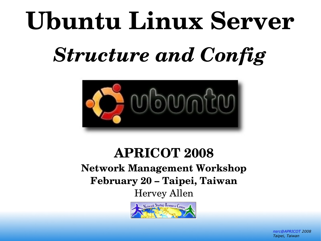# **Ubuntu Linux Server**

# *Structure and Config*



#### **APRICOT 2008 Network Management Workshop February 20 – Taipei, Taiwan** Hervey Allen

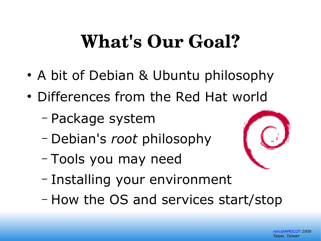### **What's Our Goal?**

- A bit of Debian & Ubuntu philosophy
- Differences from the Red Hat world
	- Package system
	- Debian's *root* philosophy
	- Tools you may need



- Installing your environment
- How the OS and services start/stop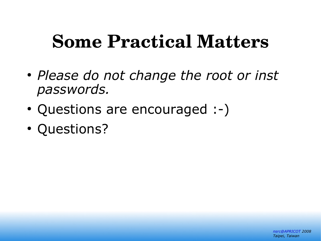### **Some Practical Matters**

- *Please do not change the root or inst passwords.*
- Questions are encouraged :-)
- Questions?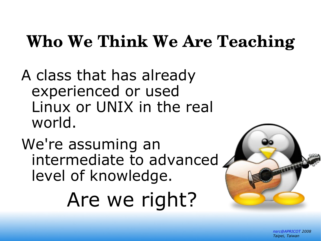### **Who We Think We Are Teaching**

A class that has already experienced or used Linux or UNIX in the real world.

We're assuming an intermediate to advanced level of knowledge.

Are we right?

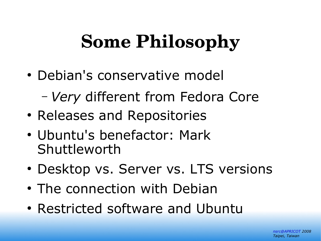### **Some Philosophy**

- Debian's conservative model
	- *Very* different from Fedora Core
- Releases and Repositories
- Ubuntu's benefactor: Mark Shuttleworth
- Desktop vs. Server vs. LTS versions
- The connection with Debian
- Restricted software and Ubuntu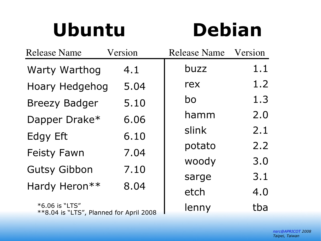### **Ubuntu Debian**

| <b>Release Name</b>                                         | Version | <b>Release Name</b> | Version |
|-------------------------------------------------------------|---------|---------------------|---------|
| <b>Warty Warthog</b>                                        | 4.1     | buzz                | 1.1     |
| Hoary Hedgehog                                              | 5.04    | rex                 | 1.2     |
| <b>Breezy Badger</b>                                        | 5.10    | bo                  | 1.3     |
| Dapper Drake*                                               | 6.06    | hamm                | 2.0     |
| <b>Edgy Eft</b>                                             | 6.10    | slink               | 2.1     |
| <b>Feisty Fawn</b>                                          | 7.04    | potato              | 2.2     |
| <b>Gutsy Gibbon</b>                                         | 7.10    | woody               | 3.0     |
|                                                             |         | sarge               | 3.1     |
| Hardy Heron**                                               | 8.04    | etch                | 4.0     |
| $*6.06$ is "LTS"<br>**8.04 is "LTS", Planned for April 2008 |         | lenny               | tba     |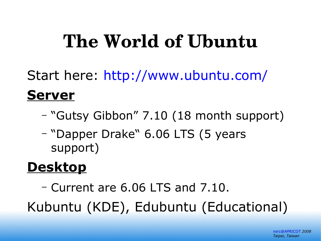### **The World of Ubuntu**

Start here:<http://www.ubuntu.com/>

#### **Server**

- "Gutsy Gibbon" 7.10 (18 month support)
- "Dapper Drake" 6.06 LTS (5 years support)

### **Desktop**

– Current are 6.06 LTS and 7.10.

Kubuntu (KDE), Edubuntu (Educational)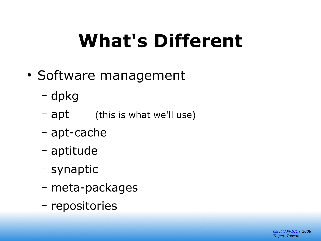# **What's Different**

- Software management
	- dpkg
	- apt (this is what we'll use)
	- apt-cache
	- aptitude
	- synaptic
	- meta-packages
	- repositories

*[nsrc@APRICOT](mailto:nsrc@APRICOT) 2008 Taipei, Taiwan*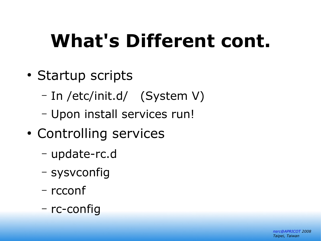# **What's Different cont.**

- Startup scripts
	- In /etc/init.d/ (System V)
	- Upon install services run!
- Controlling services
	- update-rc.d
	- sysvconfig
	- rcconf
	- rc-config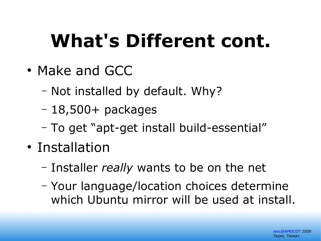# **What's Different cont.**

- Make and GCC
	- Not installed by default. Why?
	- $-18,500+$  packages
	- To get "apt-get install build-essential"
- Installation
	- Installer *really* wants to be on the net
	- Your language/location choices determine which Ubuntu mirror will be used at install.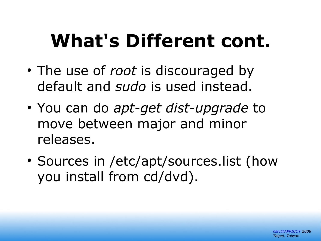## **What's Different cont.**

- The use of *root* is discouraged by default and *sudo* is used instead.
- You can do *apt-get dist-upgrade* to move between major and minor releases.
- Sources in /etc/apt/sources.list (how you install from cd/dvd).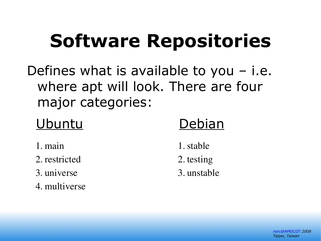# **Software Repositories**

Defines what is available to you  $-$  i.e. where apt will look. There are four major categories:

#### Ubuntu Debian

- 1. main
- 2. restricted
- 3. universe
- 4. multiverse
- 1.stable
- 2. testing
- 3. unstable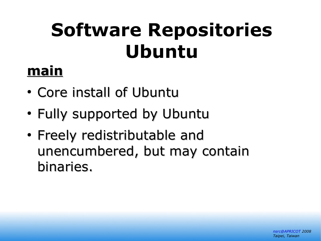# **Software Repositories Ubuntu**

### **main**

- Core install of Ubuntu
- Fully supported by Ubuntu
- Freely redistributable and unencumbered, but may contain binaries.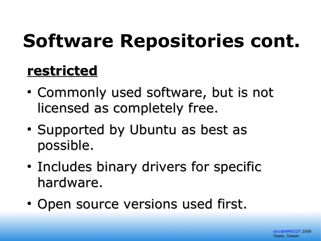# **Software Repositories cont.**

### **restricted**

- Commonly used software, but is not licensed as completely free.
- Supported by Ubuntu as best as possible.
- Includes binary drivers for specific hardware.
- Open source versions used first.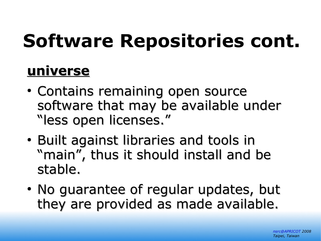# **Software Repositories cont.**

#### **universe**

- Contains remaining open source software that may be available under "less open licenses."
- Built against libraries and tools in "main", thus it should install and be stable.
- No guarantee of regular updates, but they are provided as made available.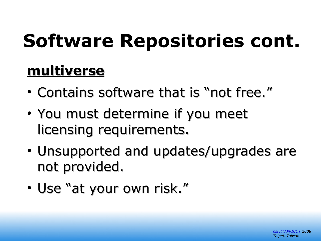# **Software Repositories cont.**

### **multiverse**

- Contains software that is "not free."
- You must determine if you meet licensing requirements.
- Unsupported and updates/upgrades are not provided.
- Use "at your own risk."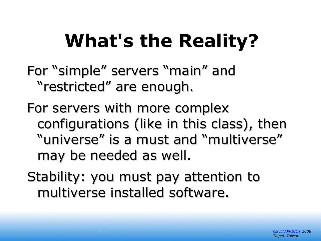# **What's the Reality?**

For "simple" servers "main" and "restricted" are enough.

For servers with more complex configurations (like in this class), then "universe" is a must and "multiverse" may be needed as well.

Stability: you must pay attention to multiverse installed software.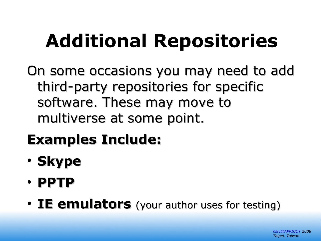# **Additional Repositories**

On some occasions you may need to add third-party repositories for specific software. These may move to multiverse at some point.

### **Examples Include:**

- **Skype**
- **PPTP**
- IE emulators (your author uses for testing)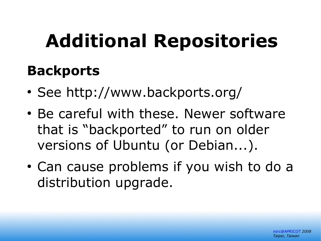# **Additional Repositories**

#### **Backports**

- See<http://www.backports.org/>
- Be careful with these. Newer software that is "backported" to run on older versions of Ubuntu (or Debian...).
- Can cause problems if you wish to do a distribution upgrade.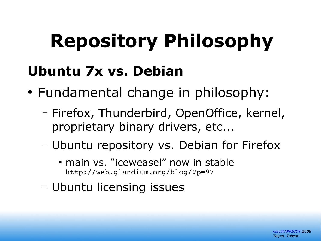# **Repository Philosophy**

#### **Ubuntu 7x vs. Debian**

- Fundamental change in philosophy:
	- Firefox, Thunderbird, OpenOffice, kernel, proprietary binary drivers, etc...
	- Ubuntu repository vs. Debian for Firefox
		- main vs. "iceweasel" now in stable http://web.glandium.org/blog/?p=97
	- Ubuntu licensing issues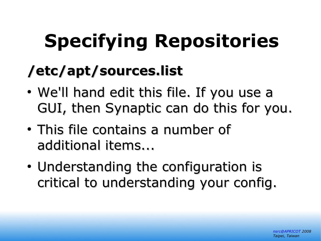# **Specifying Repositories**

### **/etc/apt/sources.list**

- We'll hand edit this file. If you use a GUI, then Synaptic can do this for you.
- This file contains a number of additional items...
- Understanding the configuration is critical to understanding your config.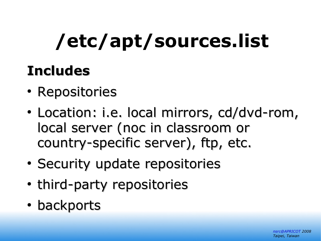# **/etc/apt/sources.list**

### **Includes**

- Repositories
- Location: i.e. local mirrors, cd/dvd-rom, local server (noc in classroom or country-specific server), ftp, etc.
- Security update repositories
- third-party repositories
- backports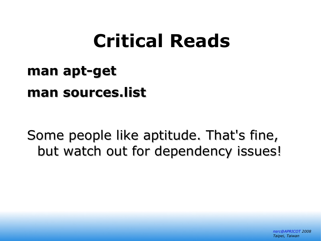### **Critical Reads**

### **man apt-get man sources.list**

Some people like aptitude. That's fine, but watch out for dependency issues!

> *[nsrc@APRICOT](mailto:nsrc@APRICOT) 2008 Taipei, Taiwan*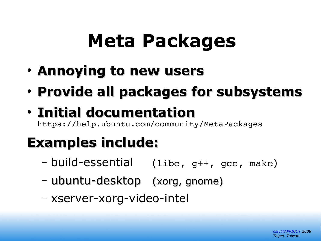### **Meta Packages**

- **Annoying to new users**
- **Provide all packages for subsystems**

### ● **Initial documentation**

https://help.ubuntu.com/community/MetaPackages

### **Examples include:**

- build-essential (libc, g++, gcc, make)
- ubuntu-desktop (xorg, gnome)
- xserver-xorg-video-intel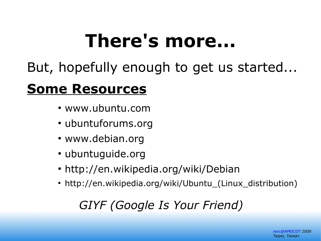# **There's more...**

But, hopefully enough to get us started...

#### **Some Resources**

- www.ubuntu.com
- ubuntuforums.org
- www.debian.org
- ubuntuguide.org
- http://en.wikipedia.org/wiki/Debian
- http://en.wikipedia.org/wiki/Ubuntu\_(Linux\_distribution)

#### *GIYF (Google Is Your Friend)*